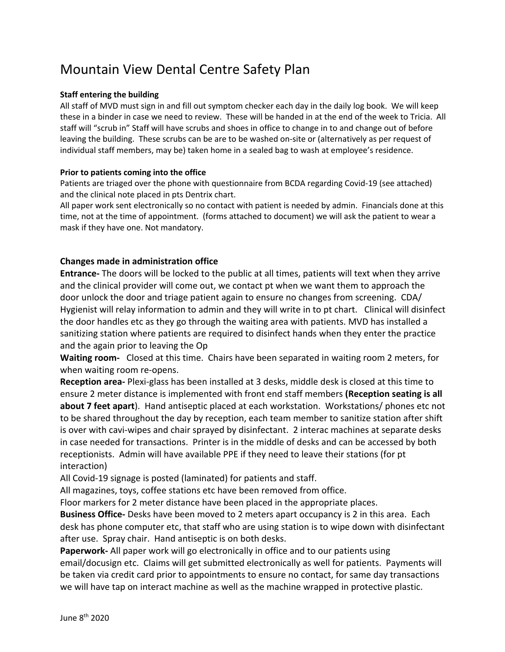## Mountain View Dental Centre Safety Plan

## **Staff entering the building**

All staff of MVD must sign in and fill out symptom checker each day in the daily log book. We will keep these in a binder in case we need to review. These will be handed in at the end of the week to Tricia. All staff will "scrub in" Staff will have scrubs and shoes in office to change in to and change out of before leaving the building. These scrubs can be are to be washed on-site or (alternatively as per request of individual staff members, may be) taken home in a sealed bag to wash at employee's residence.

## **Prior to patients coming into the office**

Patients are triaged over the phone with questionnaire from BCDA regarding Covid-19 (see attached) and the clinical note placed in pts Dentrix chart.

All paper work sent electronically so no contact with patient is needed by admin. Financials done at this time, not at the time of appointment. (forms attached to document) we will ask the patient to wear a mask if they have one. Not mandatory.

## **Changes made in administration office**

**Entrance-** The doors will be locked to the public at all times, patients will text when they arrive and the clinical provider will come out, we contact pt when we want them to approach the door unlock the door and triage patient again to ensure no changes from screening. CDA/ Hygienist will relay information to admin and they will write in to pt chart. Clinical will disinfect the door handles etc as they go through the waiting area with patients. MVD has installed a sanitizing station where patients are required to disinfect hands when they enter the practice and the again prior to leaving the Op

**Waiting room-** Closed at this time. Chairs have been separated in waiting room 2 meters, for when waiting room re-opens.

**Reception area-** Plexi-glass has been installed at 3 desks, middle desk is closed at this time to ensure 2 meter distance is implemented with front end staff members **(Reception seating is all about 7 feet apart**). Hand antiseptic placed at each workstation. Workstations/ phones etc not to be shared throughout the day by reception, each team member to sanitize station after shift is over with cavi-wipes and chair sprayed by disinfectant. 2 interac machines at separate desks in case needed for transactions. Printer is in the middle of desks and can be accessed by both receptionists. Admin will have available PPE if they need to leave their stations (for pt interaction)

All Covid-19 signage is posted (laminated) for patients and staff.

All magazines, toys, coffee stations etc have been removed from office.

Floor markers for 2 meter distance have been placed in the appropriate places.

**Business Office-** Desks have been moved to 2 meters apart occupancy is 2 in this area. Each desk has phone computer etc, that staff who are using station is to wipe down with disinfectant after use. Spray chair. Hand antiseptic is on both desks.

**Paperwork-** All paper work will go electronically in office and to our patients using email/docusign etc. Claims will get submitted electronically as well for patients. Payments will be taken via credit card prior to appointments to ensure no contact, for same day transactions we will have tap on interact machine as well as the machine wrapped in protective plastic.